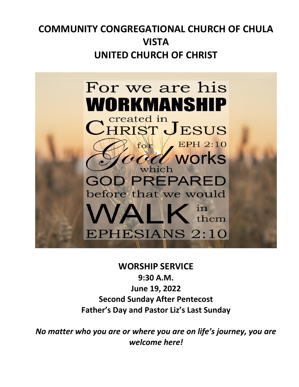# **COMMUNITY CONGREGATIONAL CHURCH OF CHULA VISTA UNITED CHURCH OF CHRIST**



## **WORSHIP SERVICE**

**9:30 A.M. June 19, 2022 Second Sunday After Pentecost Father's Day and Pastor Liz's Last Sunday**

*No matter who you are or where you are on life's journey, you are welcome here!*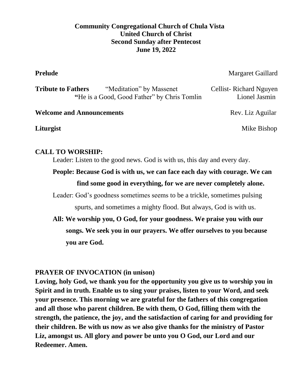### **Community Congregational Church of Chula Vista United Church of Christ Second Sunday after Pentecost June 19, 2022**

**Prelude** Margaret Gaillard

| <b>Tribute to Fathers</b>                   | "Meditation" by Massenet | Cellist-Richard Nguyen |
|---------------------------------------------|--------------------------|------------------------|
| "He is a Good, Good Father" by Chris Tomlin |                          | Lionel Jasmin          |

### **Welcome and Announcements Rev. Liz Aguilar**

**Liturgist** Mike Bishop

### **CALL TO WORSHIP:**

Leader: Listen to the good news. God is with us, this day and every day.

**People: Because God is with us, we can face each day with courage. We can find some good in everything, for we are never completely alone.**

Leader: God's goodness sometimes seems to be a trickle, sometimes pulsing spurts, and sometimes a mighty flood. But always, God is with us.

**All: We worship you, O God, for your goodness. We praise you with our songs. We seek you in our prayers. We offer ourselves to you because you are God.**

### **PRAYER OF INVOCATION (in unison)**

**Loving, holy God, we thank you for the opportunity you give us to worship you in Spirit and in truth. Enable us to sing your praises, listen to your Word, and seek your presence. This morning we are grateful for the fathers of this congregation and all those who parent children. Be with them, O God, filling them with the strength, the patience, the joy, and the satisfaction of caring for and providing for their children. Be with us now as we also give thanks for the ministry of Pastor Liz, amongst us. All glory and power be unto you O God, our Lord and our Redeemer. Amen.**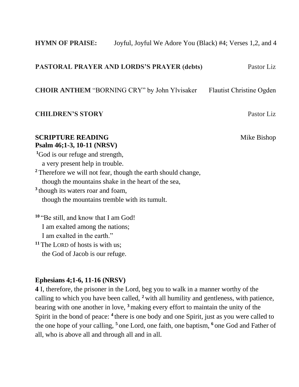### **HYMN OF PRAISE:** Joyful, Joyful We Adore You (Black) #4; Verses 1,2, and 4

### **PASTORAL PRAYER AND LORDS'S PRAYER (debts)** Pastor Liz

**CHOIR ANTHEM "BORNING CRY" by John Ylvisaker Flautist Christine Ogden** 

### **CHILDREN'S STORY** Pastor Liz

### **SCRIPTURE READING** Mike Bishop **Psalm 46;1-3, 10-11 (NRSV)**

**<sup>1</sup>**God is our refuge and strength, a very present help in trouble. **<sup>2</sup>** Therefore we will not fear, though the earth should change, though the mountains shake in the heart of the sea, **3** though its waters roar and foam, though the mountains tremble with its tumult.

**<sup>10</sup>** "Be still, and know that I am God! I am exalted among the nations; I am exalted in the earth." **<sup>11</sup>** The LORD of hosts is with us;

the God of Jacob is our refuge.

### **Ephesians 4;1-6, 11-16 (NRSV)**

**4** I, therefore, the prisoner in the Lord, beg you to walk in a manner worthy of the calling to which you have been called, **<sup>2</sup>** with all humility and gentleness, with patience, bearing with one another in love, **<sup>3</sup>** making every effort to maintain the unity of the Spirit in the bond of peace: <sup>4</sup> there is one body and one Spirit, just as you were called to the one hope of your calling, **<sup>5</sup>** one Lord, one faith, one baptism, **<sup>6</sup>** one God and Father of all, who is above all and through all and in all.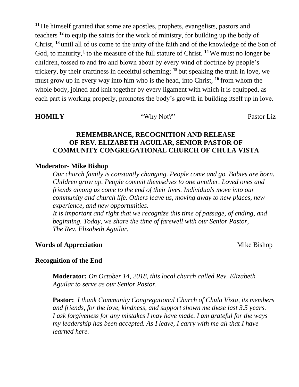**<sup>11</sup>** He himself granted that some are apostles, prophets, evangelists, pastors and teachers **<sup>12</sup>** to equip the saints for the work of ministry, for building up the body of Christ, **<sup>13</sup>** until all of us come to the unity of the faith and of the knowledge of the Son of God, to maturity, <sup>[</sup> to the measure of the full stature of Christ. <sup>14</sup>We must no longer be children, tossed to and fro and blown about by every wind of doctrine by people's trickery, by their craftiness in deceitful scheming; **<sup>15</sup>** but speaking the truth in love, we must grow up in every way into him who is the head, into Christ, **<sup>16</sup>** from whom the whole body, joined and knit together by every ligament with which it is equipped, as each part is working properly, promotes the body's growth in building itself up in love.

**HOMILY** "Why Not?" Pastor Liz

### **REMEMBRANCE, RECOGNITION AND RELEASE OF REV. ELIZABETH AGUILAR, SENIOR PASTOR OF COMMUNITY CONGREGATIONAL CHURCH OF CHULA VISTA**

### **Moderator- Mike Bishop**

*Our church family is constantly changing. People come and go. Babies are born. Children grow up. People commit themselves to one another. Loved ones and friends among us come to the end of their lives. Individuals move into our community and church life. Others leave us, moving away to new places, new experience, and new opportunities.* 

*It is important and right that we recognize this time of passage, of ending, and beginning. Today, we share the time of farewell with our Senior Pastor, The Rev. Elizabeth Aguilar.* 

### **Words of Appreciation Mike Bishop**

### **Recognition of the End**

**Moderator:** *On October 14, 2018, this local church called Rev. Elizabeth Aguilar to serve as our Senior Pastor.* 

**Pastor:** *I thank Community Congregational Church of Chula Vista, its members and friends, for the love, kindness, and support shown me these last 3.5 years. I ask forgiveness for any mistakes I may have made. I am grateful for the ways my leadership has been accepted. As I leave, I carry with me all that I have learned here.*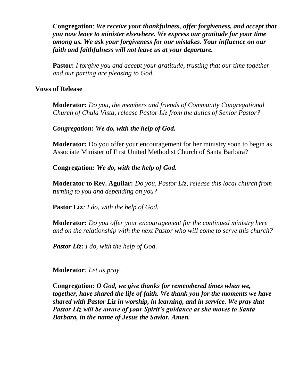**Congregation**: *We receive your thankfulness, offer forgiveness, and accept that you now leave to minister elsewhere. We express our gratitude for your time among us. We ask your forgiveness for our mistakes. Your influence on our faith and faithfulness will not leave us at your departure.* 

**Pastor:** *I forgive you and accept your gratitude, trusting that our time together and our parting are pleasing to God.* 

### **Vows of Release**

**Moderator:** *Do you, the members and friends of Community Congregational Church of Chula Vista, release Pastor Liz from the duties of Senior Pastor?*

*Congregation: We do, with the help of God.*

**Moderator:** Do you offer your encouragement for her ministry soon to begin as Associate Minister of First United Methodist Church of Santa Barbara?

**Congregation:** *We do, with the help of God.*

**Moderator to Rev. Aguilar:** *Do you, Pastor Liz, release this local church from turning to you and depending on you?* 

**Pastor Liz***: I do, with the help of God.*

**Moderator:** *Do you offer your encouragement for the continued ministry here and on the relationship with the next Pastor who will come to serve this church?* 

*Pastor Liz: I do, with the help of God.* 

**Moderator***: Let us pray.* 

**Congregation***: O God, we give thanks for remembered times when we, together, have shared the life of faith. We thank you for the moments we have shared with Pastor Liz in worship, in learning, and in service. We pray that Pastor Liz will be aware of your Spirit's guidance as she moves to Santa Barbara, in the name of Jesus the Savior. Amen.*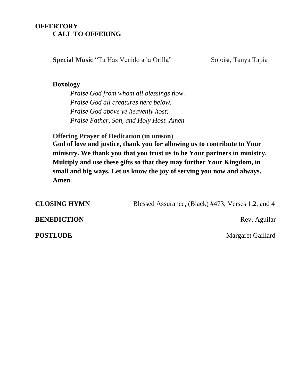### **OFFERTORY CALL TO OFFERING**

**Special Music** "Tu Has Venido a la Orilla" Soloist, Tanya Tapia

### **Doxology**

*Praise God from whom all blessings flow. Praise God all creatures here below. Praise God above ye heavenly host; Praise Father, Son, and Holy Host. Amen*

**Offering Prayer of Dedication (in unison)**

**God of love and justice, thank you for allowing us to contribute to Your ministry. We thank you that you trust us to be Your partners in ministry. Multiply and use these gifts so that they may further Your Kingdom, in small and big ways. Let us know the joy of serving you now and always. Amen.** 

**CLOSING HYMN** Blessed Assurance, (Black) #473; Verses 1,2, and 4

**BENEDICTION** Rev. Aguilar

**POSTLUDE** Margaret Gaillard